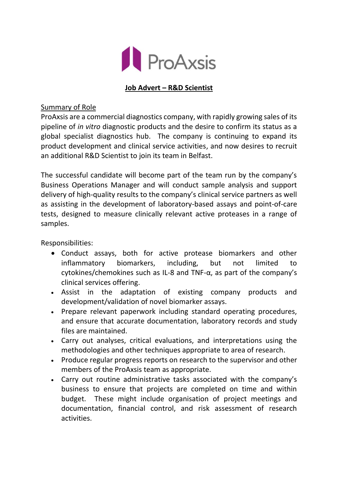

## **Job Advert – R&D Scientist**

## Summary of Role

ProAxsis are a commercial diagnostics company, with rapidly growing sales of its pipeline of *in vitro* diagnostic products and the desire to confirm its status as a global specialist diagnostics hub. The company is continuing to expand its product development and clinical service activities, and now desires to recruit an additional R&D Scientist to join its team in Belfast.

The successful candidate will become part of the team run by the company's Business Operations Manager and will conduct sample analysis and support delivery of high-quality results to the company's clinical service partners as well as assisting in the development of laboratory-based assays and point-of-care tests, designed to measure clinically relevant active proteases in a range of samples.

Responsibilities:

- Conduct assays, both for active protease biomarkers and other inflammatory biomarkers, including, but not limited to cytokines/chemokines such as IL-8 and TNF-α, as part of the company's clinical services offering.
- Assist in the adaptation of existing company products and development/validation of novel biomarker assays.
- Prepare relevant paperwork including standard operating procedures, and ensure that accurate documentation, laboratory records and study files are maintained.
- Carry out analyses, critical evaluations, and interpretations using the methodologies and other techniques appropriate to area of research.
- Produce regular progress reports on research to the supervisor and other members of the ProAxsis team as appropriate.
- Carry out routine administrative tasks associated with the company's business to ensure that projects are completed on time and within budget. These might include organisation of project meetings and documentation, financial control, and risk assessment of research activities.